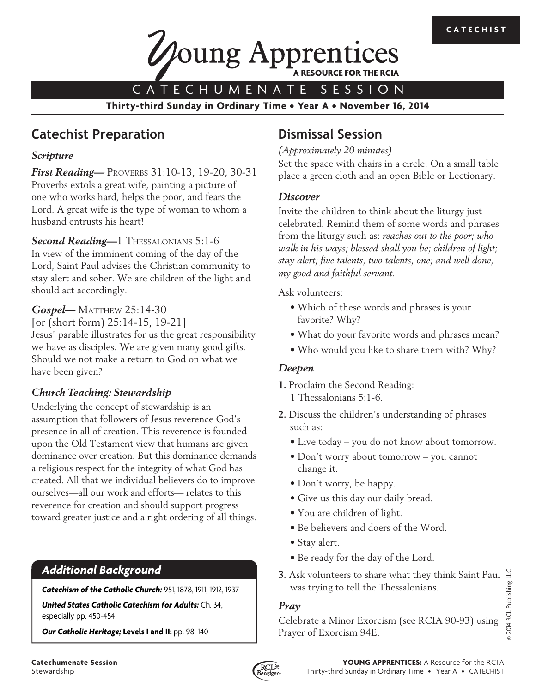

CATECHUMENATE SESSION

**Thirty-third Sunday in Ordinary Time • Year A • November 16, 2014**

# **Catechist Preparation**

### *Scripture*

*First Reading*— PROVERBS 31:10-13, 19-20, 30-31 Proverbs extols a great wife, painting a picture of one who works hard, helps the poor, and fears the Lord. A great wife is the type of woman to whom a husband entrusts his heart!

**Second Reading-1 THESSALONIANS 5:1-6** In view of the imminent coming of the day of the Lord, Saint Paul advises the Christian community to stay alert and sober. We are children of the light and should act accordingly.

*Gospel*— MATTHEW 25:14-30

[or (short form) 25:14-15, 19-21] Jesus' parable illustrates for us the great responsibility we have as disciples. We are given many good gifts. Should we not make a return to God on what we have been given?

# *Church Teaching: Stewardship*

Underlying the concept of stewardship is an assumption that followers of Jesus reverence God's presence in all of creation. This reverence is founded upon the Old Testament view that humans are given dominance over creation. But this dominance demands a religious respect for the integrity of what God has created. All that we individual believers do to improve ourselves—all our work and efforts— relates to this reverence for creation and should support progress toward greater justice and a right ordering of all things.

# *Additional Background*

*Catechism of the Catholic Church:* 951, 1878, 1911, 1912, 1937

*United States Catholic Catechism for Adults:* Ch. 34, especially pp. 450-454

*Our Catholic Heritage;* **Levels I and II:** pp. 98, 140

# **Dismissal Session**

*(Approximately 20 minutes)*

Set the space with chairs in a circle. On a small table place a green cloth and an open Bible or Lectionary.

## *Discover*

Invite the children to think about the liturgy just celebrated. Remind them of some words and phrases from the liturgy such as: *reaches out to the poor; who walk in his ways; blessed shall you be; children of light; stay alert; five talents, two talents, one; and well done, my good and faithful servant*.

Ask volunteers:

- Which of these words and phrases is your favorite? Why?
- What do your favorite words and phrases mean?
- Who would you like to share them with? Why?

## *Deepen*

- **1.** Proclaim the Second Reading: 1 Thessalonians 5:1-6.
- **2.** Discuss the children's understanding of phrases such as:
	- Live today you do not know about tomorrow.
	- Don't worry about tomorrow you cannot change it.
	- Don't worry, be happy.
	- Give us this day our daily bread.
	- You are children of light.
	- Be believers and doers of the Word.
	- Stay alert.
	- Be ready for the day of the Lord.
- **3.** Ask volunteers to share what they think Saint Paul was trying to tell the Thessalonians.

## *Pray*

Celebrate a Minor Exorcism (see RCIA 90-93) using Prayer of Exorcism 94E.